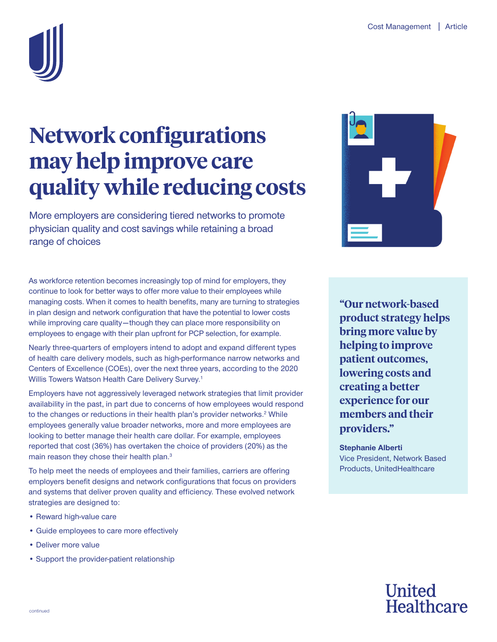

# **Network configurations may help improve care quality while reducing costs**

More employers are considering tiered networks to promote physician quality and cost savings while retaining a broad range of choices

As workforce retention becomes increasingly top of mind for employers, they continue to look for better ways to offer more value to their employees while managing costs. When it comes to health benefits, many are turning to strategies in plan design and network configuration that have the potential to lower costs while improving care quality—though they can place more responsibility on employees to engage with their plan upfront for PCP selection, for example.

Nearly three-quarters of employers intend to adopt and expand different types of health care delivery models, such as high-performance narrow networks and Centers of Excellence (COEs), over the next three years, according to the 2020 Willis Towers Watson Health Care Delivery Survey.<sup>1</sup>

Employers have not aggressively leveraged network strategies that limit provider availability in the past, in part due to concerns of how employees would respond to the changes or reductions in their health plan's provider networks.<sup>2</sup> While employees generally value broader networks, more and more employees are looking to better manage their health care dollar. For example, employees reported that cost (36%) has overtaken the choice of providers (20%) as the main reason they chose their health plan.<sup>3</sup>

To help meet the needs of employees and their families, carriers are offering employers benefit designs and network configurations that focus on providers and systems that deliver proven quality and efficiency. These evolved network strategies are designed to:

- Reward high-value care
- Guide employees to care more effectively
- Deliver more value
- Support the provider-patient relationship



**"Our network-based product strategy helps bring more value by helping to improve patient outcomes, lowering costs and creating a better experience for our members and their providers."**

**Stephanie Alberti** Vice President, Network Based Products, UnitedHealthcare

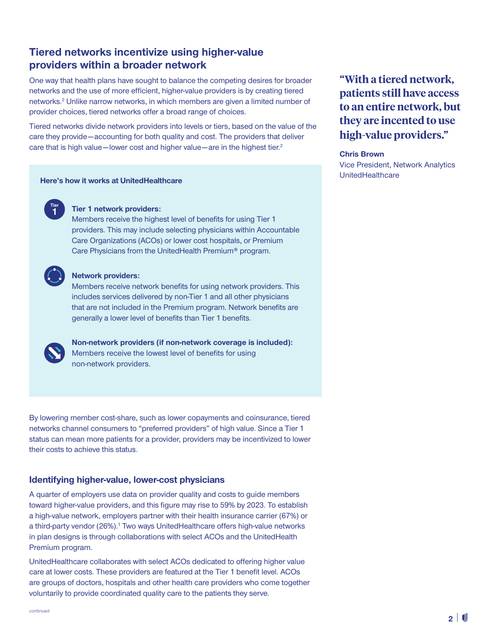## **Tiered networks incentivize using higher-value providers within a broader network**

One way that health plans have sought to balance the competing desires for broader networks and the use of more efficient, higher-value providers is by creating tiered networks.<sup>2</sup> Unlike narrow networks, in which members are given a limited number of provider choices, tiered networks offer a broad range of choices.

Tiered networks divide network providers into levels or tiers, based on the value of the care they provide—accounting for both quality and cost. The providers that deliver care that is high value—lower cost and higher value—are in the highest tier.<sup>2</sup>

## UnitedHealthcare **Here's how it works at UnitedHealthcare**



#### **Tier 1 network providers:**

Members receive the highest level of benefits for using Tier 1 providers. This may include selecting physicians within Accountable Care Organizations (ACOs) or lower cost hospitals, or Premium Care Physicians from the UnitedHealth Premium® program.



#### **Network providers:**

Members receive network benefits for using network providers. This includes services delivered by non-Tier 1 and all other physicians that are not included in the Premium program. Network benefits are generally a lower level of benefits than Tier 1 benefits.



 **Non-network providers (if non-network coverage is included):** Members receive the lowest level of benefits for using non-network providers.

By lowering member cost-share, such as lower copayments and coinsurance, tiered networks channel consumers to "preferred providers" of high value. Since a Tier 1 status can mean more patients for a provider, providers may be incentivized to lower their costs to achieve this status.

### **Identifying higher-value, lower-cost physicians**

A quarter of employers use data on provider quality and costs to guide members toward higher-value providers, and this figure may rise to 59% by 2023. To establish a high-value network, employers partner with their health insurance carrier (67%) or a third-party vendor (26%).<sup>1</sup> Two ways UnitedHealthcare offers high-value networks in plan designs is through collaborations with select ACOs and the UnitedHealth Premium program.

UnitedHealthcare collaborates with select ACOs dedicated to offering higher value care at lower costs. These providers are featured at the Tier 1 benefit level. ACOs are groups of doctors, hospitals and other health care providers who come together voluntarily to provide coordinated quality care to the patients they serve.

**"With a tiered network, patients still have access to an entire network, but they are incented to use high-value providers."** 

#### **Chris Brown**

Vice President, Network Analytics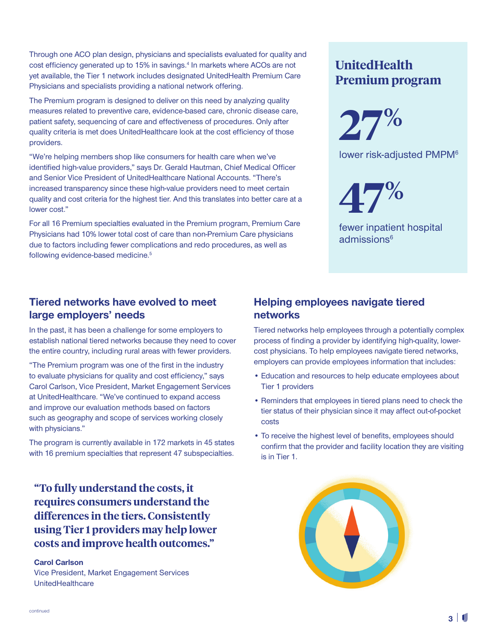Through one ACO plan design, physicians and specialists evaluated for quality and cost efficiency generated up to 15% in savings.<sup>4</sup> In markets where ACOs are not yet available, the Tier 1 network includes designated UnitedHealth Premium Care Physicians and specialists providing a national network offering.

The Premium program is designed to deliver on this need by analyzing quality measures related to preventive care, evidence-based care, chronic disease care, patient safety, sequencing of care and effectiveness of procedures. Only after quality criteria is met does UnitedHealthcare look at the cost efficiency of those providers.

"We're helping members shop like consumers for health care when we've identified high-value providers," says Dr. Gerald Hautman, Chief Medical Officer and Senior Vice President of UnitedHealthcare National Accounts. "There's increased transparency since these high-value providers need to meet certain quality and cost criteria for the highest tier. And this translates into better care at a lower cost."

For all 16 Premium specialties evaluated in the Premium program, Premium Care Physicians had 10% lower total cost of care than non-Premium Care physicians due to factors including fewer complications and redo procedures, as well as following evidence-based medicine.<sup>5</sup>

## **UnitedHealth Premium program**

**27%**

lower risk-adjusted PMPM<sup>6</sup>

**47%**

fewer inpatient hospital  $admissions<sup>6</sup>$ 

## **Tiered networks have evolved to meet large employers' needs**

In the past, it has been a challenge for some employers to establish national tiered networks because they need to cover the entire country, including rural areas with fewer providers.

"The Premium program was one of the first in the industry to evaluate physicians for quality and cost efficiency," says Carol Carlson, Vice President, Market Engagement Services at UnitedHealthcare. "We've continued to expand access and improve our evaluation methods based on factors such as geography and scope of services working closely with physicians."

The program is currently available in 172 markets in 45 states with 16 premium specialties that represent 47 subspecialties.

**"To fully understand the costs, it requires consumers understand the differences in the tiers. Consistently using Tier 1 providers may help lower costs and improve health outcomes."** 

#### **Carol Carlson**

Vice President, Market Engagement Services **UnitedHealthcare** 

## **Helping employees navigate tiered networks**

Tiered networks help employees through a potentially complex process of finding a provider by identifying high-quality, lowercost physicians. To help employees navigate tiered networks, employers can provide employees information that includes:

- Education and resources to help educate employees about Tier 1 providers
- Reminders that employees in tiered plans need to check the tier status of their physician since it may affect out-of-pocket costs
- To receive the highest level of benefits, employees should confirm that the provider and facility location they are visiting is in Tier 1.